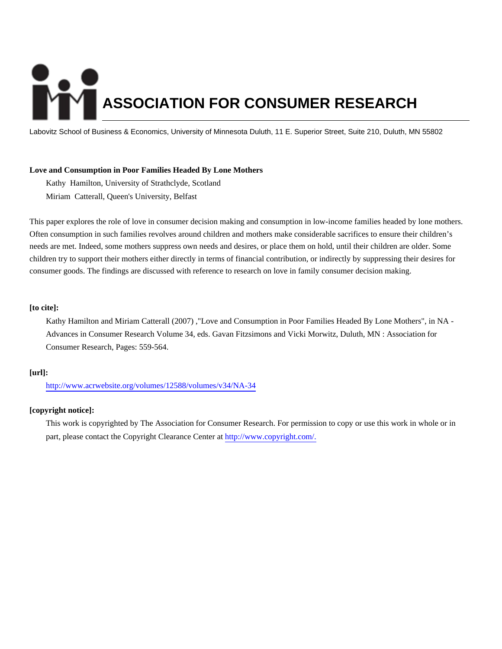# **ASSOCIATION FOR CONSUMER RESEARCH**

Labovitz School of Business & Economics, University of Minnesota Duluth, 11 E. Superior Street, Suite 210, Duluth, MN 55802

# **Love and Consumption in Poor Families Headed By Lone Mothers**

Kathy Hamilton, University of Strathclyde, Scotland Miriam Catterall, Queen's University, Belfast

This paper explores the role of love in consumer decision making and consumption in low-income families headed by lone mothers. Often consumption in such families revolves around children and mothers make considerable sacrifices to ensure their children's needs are met. Indeed, some mothers suppress own needs and desires, or place them on hold, until their children are older. Some children try to support their mothers either directly in terms of financial contribution, or indirectly by suppressing their desires for consumer goods. The findings are discussed with reference to research on love in family consumer decision making.

# **[to cite]:**

Kathy Hamilton and Miriam Catterall (2007) ,"Love and Consumption in Poor Families Headed By Lone Mothers", in NA - Advances in Consumer Research Volume 34, eds. Gavan Fitzsimons and Vicki Morwitz, Duluth, MN : Association for Consumer Research, Pages: 559-564.

# **[url]:**

<http://www.acrwebsite.org/volumes/12588/volumes/v34/NA-34>

# **[copyright notice]:**

This work is copyrighted by The Association for Consumer Research. For permission to copy or use this work in whole or in part, please contact the Copyright Clearance Center at [http://www.copyright.com/.](http://www.copyright.com/)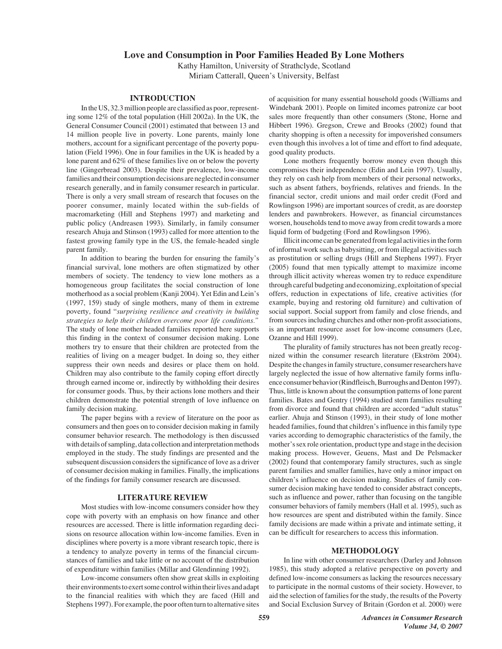# **Love and Consumption in Poor Families Headed By Lone Mothers**

Kathy Hamilton, University of Strathclyde, Scotland Miriam Catterall, Queen's University, Belfast

# **INTRODUCTION**

In the US, 32.3 million people are classified as poor, representing some 12% of the total population (Hill 2002a). In the UK, the General Consumer Council (2001) estimated that between 13 and 14 million people live in poverty. Lone parents, mainly lone mothers, account for a significant percentage of the poverty population (Field 1996). One in four families in the UK is headed by a lone parent and 62% of these families live on or below the poverty line (Gingerbread 2003). Despite their prevalence, low-income families and their consumption decisions are neglected in consumer research generally, and in family consumer research in particular. There is only a very small stream of research that focuses on the poorer consumer, mainly located within the sub-fields of macromarketing (Hill and Stephens 1997) and marketing and public policy (Andreasen 1993). Similarly, in family consumer research Ahuja and Stinson (1993) called for more attention to the fastest growing family type in the US, the female-headed single parent family.

In addition to bearing the burden for ensuring the family's financial survival, lone mothers are often stigmatized by other members of society. The tendency to view lone mothers as a homogeneous group facilitates the social construction of lone motherhood as a social problem (Kanji 2004). Yet Edin and Lein's (1997, 159) study of single mothers, many of them in extreme poverty, found "*surprising resilience and creativity in building strategies to help their children overcome poor life conditions."* The study of lone mother headed families reported here supports this finding in the context of consumer decision making. Lone mothers try to ensure that their children are protected from the realities of living on a meager budget. In doing so, they either suppress their own needs and desires or place them on hold. Children may also contribute to the family coping effort directly through earned income or, indirectly by withholding their desires for consumer goods. Thus, by their actions lone mothers and their children demonstrate the potential strength of love influence on family decision making.

The paper begins with a review of literature on the poor as consumers and then goes on to consider decision making in family consumer behavior research. The methodology is then discussed with details of sampling, data collection and interpretation methods employed in the study. The study findings are presented and the subsequent discussion considers the significance of love as a driver of consumer decision making in families. Finally, the implications of the findings for family consumer research are discussed.

## **LITERATURE REVIEW**

Most studies with low-income consumers consider how they cope with poverty with an emphasis on how finance and other resources are accessed. There is little information regarding decisions on resource allocation within low-income families. Even in disciplines where poverty is a more vibrant research topic, there is a tendency to analyze poverty in terms of the financial circumstances of families and take little or no account of the distribution of expenditure within families (Millar and Glendinning 1992).

Low-income consumers often show great skills in exploiting their environments to exert some control within their lives and adapt to the financial realities with which they are faced (Hill and Stephens 1997). For example, the poor often turn to alternative sites

of acquisition for many essential household goods (Williams and Windebank 2001). People on limited incomes patronize car boot sales more frequently than other consumers (Stone, Horne and Hibbert 1996). Gregson, Crewe and Brooks (2002) found that charity shopping is often a necessity for impoverished consumers even though this involves a lot of time and effort to find adequate, good quality products.

Lone mothers frequently borrow money even though this compromises their independence (Edin and Lein 1997). Usually, they rely on cash help from members of their personal networks, such as absent fathers, boyfriends, relatives and friends. In the financial sector, credit unions and mail order credit (Ford and Rowlingson 1996) are important sources of credit, as are doorstep lenders and pawnbrokers. However, as financial circumstances worsen, households tend to move away from credit towards a more liquid form of budgeting (Ford and Rowlingson 1996).

Illicit income can be generated from legal activities in the form of informal work such as babysitting, or from illegal activities such as prostitution or selling drugs (Hill and Stephens 1997). Fryer (2005) found that men typically attempt to maximize income through illicit activity whereas women try to reduce expenditure through careful budgeting and economizing, exploitation of special offers, reduction in expectations of life, creative activities (for example, buying and restoring old furniture) and cultivation of social support. Social support from family and close friends, and from sources including churches and other non-profit associations, is an important resource asset for low-income consumers (Lee, Ozanne and Hill 1999).

The plurality of family structures has not been greatly recognized within the consumer research literature (Ekström 2004). Despite the changes in family structure, consumer researchers have largely neglected the issue of how alternative family forms influence consumer behavior (Rindfleisch, Burroughs and Denton 1997). Thus, little is known about the consumption patterns of lone parent families. Bates and Gentry (1994) studied stem families resulting from divorce and found that children are accorded "adult status" earlier. Ahuja and Stinson (1993), in their study of lone mother headed families, found that children's influence in this family type varies according to demographic characteristics of the family, the mother's sex role orientation, product type and stage in the decision making process. However, Geuens, Mast and De Pelsmacker (2002) found that contemporary family structures, such as single parent families and smaller families, have only a minor impact on children's influence on decision making. Studies of family consumer decision making have tended to consider abstract concepts, such as influence and power, rather than focusing on the tangible consumer behaviors of family members (Hall et al. 1995), such as how resources are spent and distributed within the family. Since family decisions are made within a private and intimate setting, it can be difficult for researchers to access this information.

#### **METHODOLOGY**

In line with other consumer researchers (Darley and Johnson 1985), this study adopted a relative perspective on poverty and defined low-income consumers as lacking the resources necessary to participate in the normal customs of their society. However, to aid the selection of families for the study, the results of the Poverty and Social Exclusion Survey of Britain (Gordon et al. 2000) were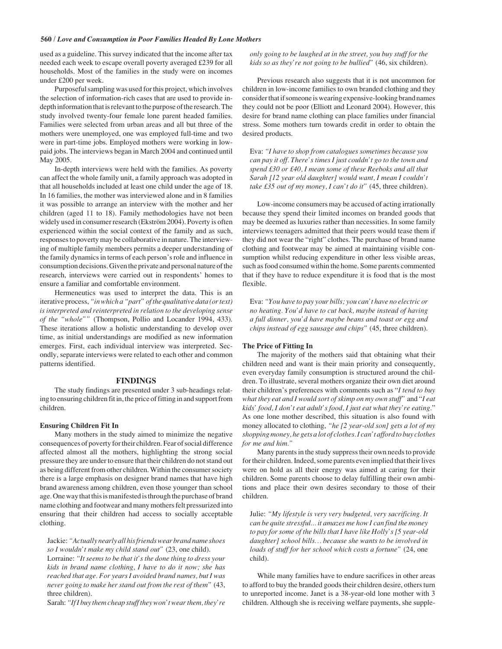### **560 /** *Love and Consumption in Poor Families Headed By Lone Mothers*

used as a guideline. This survey indicated that the income after tax needed each week to escape overall poverty averaged £239 for all households. Most of the families in the study were on incomes under £200 per week.

Purposeful sampling was used for this project, which involves the selection of information-rich cases that are used to provide indepth information that is relevant to the purpose of the research. The study involved twenty-four female lone parent headed families. Families were selected from urban areas and all but three of the mothers were unemployed, one was employed full-time and two were in part-time jobs. Employed mothers were working in lowpaid jobs. The interviews began in March 2004 and continued until May 2005.

In-depth interviews were held with the families. As poverty can affect the whole family unit, a family approach was adopted in that all households included at least one child under the age of 18. In 16 families, the mother was interviewed alone and in 8 families it was possible to arrange an interview with the mother and her children (aged 11 to 18). Family methodologies have not been widely used in consumer research (Ekström 2004). Poverty is often experienced within the social context of the family and as such, responses to poverty may be collaborative in nature. The interviewing of multiple family members permits a deeper understanding of the family dynamics in terms of each person's role and influence in consumption decisions. Given the private and personal nature of the research, interviews were carried out in respondents' homes to ensure a familiar and comfortable environment.

Hermeneutics was used to interpret the data. This is an iterative process,*"in which a "part" of the qualitative data (or text) is interpreted and reinterpreted in relation to the developing sense of the "whole""* (Thompson, Pollio and Locander 1994, 433). These iterations allow a holistic understanding to develop over time, as initial understandings are modified as new information emerges. First, each individual interview was interpreted. Secondly, separate interviews were related to each other and common patterns identified.

#### **FINDINGS**

The study findings are presented under 3 sub-headings relating to ensuring children fit in, the price of fitting in and support from children.

#### **Ensuring Children Fit In**

Many mothers in the study aimed to minimize the negative consequences of poverty for their children. Fear of social difference affected almost all the mothers, highlighting the strong social pressure they are under to ensure that their children do not stand out as being different from other children. Within the consumer society there is a large emphasis on designer brand names that have high brand awareness among children, even those younger than school age. One way that this is manifested is through the purchase of brand name clothing and footwear and many mothers felt pressurized into ensuring that their children had access to socially acceptable clothing.

Jackie: *"Actually nearly all his friends wear brand name shoes so I wouldn't make my child stand out"* (23, one child). Lorraine: *"It seems to be that it's the done thing to dress your kids in brand name clothing, I have to do it now; she has*

*reached that age. For years I avoided brand names, but I was never going to make her stand out from the rest of them"* (43, three children).

Sarah: *"If I buy them cheap stuff they won't wear them, they're*

*only going to be laughed at in the street, you buy stuff for the kids so as they're not going to be bullied"* (46, six children).

Previous research also suggests that it is not uncommon for children in low-income families to own branded clothing and they consider that if someone is wearing expensive-looking brand names they could not be poor (Elliott and Leonard 2004). However, this desire for brand name clothing can place families under financial stress. Some mothers turn towards credit in order to obtain the desired products.

Eva: *"I have to shop from catalogues sometimes because you can pay it off. There's times I just couldn't go to the town and spend £30 or £40, I mean some of these Reeboks and all that Sarah [12 year old daughter] would want, I mean I couldn't take £35 out of my money, I can't do it"* (45, three children).

Low-income consumers may be accused of acting irrationally because they spend their limited incomes on branded goods that may be deemed as luxuries rather than necessities. In some family interviews teenagers admitted that their peers would tease them if they did not wear the "right" clothes. The purchase of brand name clothing and footwear may be aimed at maintaining visible consumption whilst reducing expenditure in other less visible areas, such as food consumed within the home. Some parents commented that if they have to reduce expenditure it is food that is the most flexible.

Eva: *"You have to pay your bills; you can't have no electric or no heating. You'd have to cut back, maybe instead of having a full dinner, you'd have maybe beans and toast or egg and chips instead of egg sausage and chips"* (45, three children).

#### **The Price of Fitting In**

The majority of the mothers said that obtaining what their children need and want is their main priority and consequently, even everyday family consumption is structured around the children. To illustrate, several mothers organize their own diet around their children's preferences with comments such as "*I tend to buy what they eat and I would sort of skimp on my own stuff"* and "*I eat kids' food, I don't eat adult's food, I just eat what they're eating.*" As one lone mother described, this situation is also found with money allocated to clothing, *"he [2 year-old son] gets a lot of my shopping money, he gets a lot of clothes. I can't afford to buy clothes for me and him."*

Many parents in the study suppress their own needs to provide for their children. Indeed, some parents even implied that their lives were on hold as all their energy was aimed at caring for their children. Some parents choose to delay fulfilling their own ambitions and place their own desires secondary to those of their children.

Julie: *"My lifestyle is very very budgeted, very sacrificing. It can be quite stressful... it amazes me how I can find the money to pay for some of the bills that I have like Holly's [5 year-old daughter] school bills… because she wants to be involved in loads of stuff for her school which costs a fortune"* (24, one child).

While many families have to endure sacrifices in other areas to afford to buy the branded goods their children desire, others turn to unreported income. Janet is a 38-year-old lone mother with 3 children. Although she is receiving welfare payments, she supple-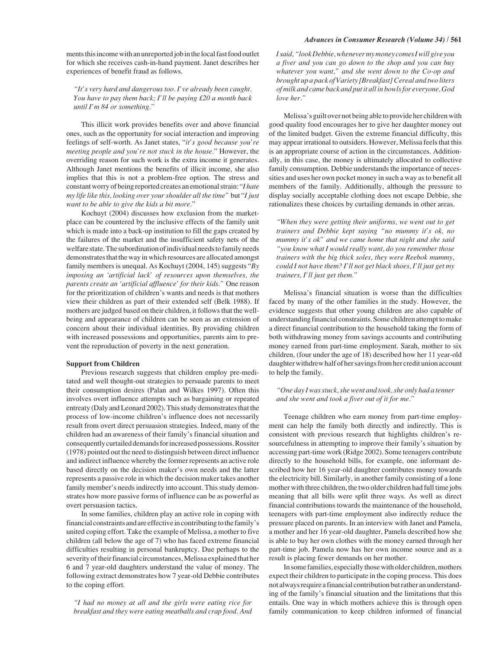#### *Advances in Consumer Research (Volume 34)* **/ 561**

ments this income with an unreported job in the local fast food outlet for which she receives cash-in-hand payment. Janet describes her experiences of benefit fraud as follows.

*"It's very hard and dangerous too. I've already been caught. You have to pay them back; I'll be paying £20 a month back until I'm 84 or something."*

This illicit work provides benefits over and above financial ones, such as the opportunity for social interaction and improving feelings of self-worth. As Janet states, "*it's good because you're meeting people and you're not stuck in the house.*" However, the overriding reason for such work is the extra income it generates. Although Janet mentions the benefits of illicit income, she also implies that this is not a problem-free option. The stress and constant worry of being reported creates an emotional strain: "*I hate my life like this, looking over your shoulder all the time"* but "*I just want to be able to give the kids a bit more.*"

Kochuyt (2004) discusses how exclusion from the marketplace can be countered by the inclusive effects of the family unit which is made into a back-up institution to fill the gaps created by the failures of the market and the insufficient safety nets of the welfare state.The subordination of individual needs to family needs demonstrates that the way in which resources are allocated amongst family members is unequal. As Kochuyt (2004, 145) suggests "*By imposing an 'artificial lack' of resources upon themselves, the parents create an 'artificial affluence' for their kids."* One reason for the prioritization of children's wants and needs is that mothers view their children as part of their extended self (Belk 1988). If mothers are judged based on their children, it follows that the wellbeing and appearance of children can be seen as an extension of concern about their individual identities. By providing children with increased possessions and opportunities, parents aim to prevent the reproduction of poverty in the next generation.

## **Support from Children**

Previous research suggests that children employ pre-meditated and well thought-out strategies to persuade parents to meet their consumption desires (Palan and Wilkes 1997). Often this involves overt influence attempts such as bargaining or repeated entreaty (Daly and Leonard 2002). This study demonstrates that the process of low-income children's influence does not necessarily result from overt direct persuasion strategies. Indeed, many of the children had an awareness of their family's financial situation and consequently curtailed demands for increased possessions. Rossiter (1978) pointed out the need to distinguish between direct influence and indirect influence whereby the former represents an active role based directly on the decision maker's own needs and the latter represents a passive role in which the decision maker takes another family member's needs indirectly into account. This study demonstrates how more passive forms of influence can be as powerful as overt persuasion tactics.

In some families, children play an active role in coping with financial constraints and are effective in contributing to the family's united coping effort. Take the example of Melissa, a mother to five children (all below the age of 7) who has faced extreme financial difficulties resulting in personal bankruptcy. Due perhaps to the severity of their financial circumstances, Melissa explained that her 6 and 7 year-old daughters understand the value of money. The following extract demonstrates how 7 year-old Debbie contributes to the coping effort.

*"I had no money at all and the girls were eating rice for breakfast and they were eating meatballs and crap food. And* *I said, "look Debbie, whenever my money comes I will give you a fiver and you can go down to the shop and you can buy whatever you want," and she went down to the Co-op and brought up a pack of Variety [Breakfast] Cereal and two liters of milk and came back and put it all in bowls for everyone, God love her."*

Melissa's guilt over not being able to provide her children with good quality food encourages her to give her daughter money out of the limited budget. Given the extreme financial difficulty, this may appear irrational to outsiders. However, Melissa feels that this is an appropriate course of action in the circumstances. Additionally, in this case, the money is ultimately allocated to collective family consumption. Debbie understands the importance of necessities and uses her own pocket money in such a way as to benefit all members of the family. Additionally, although the pressure to display socially acceptable clothing does not escape Debbie, she rationalizes these choices by curtailing demands in other areas.

*"When they were getting their uniforms, we went out to get trainers and Debbie kept saying "no mummy it's ok, no mummy it's ok" and we came home that night and she said "you know what I would really want, do you remember those trainers with the big thick soles, they were Reebok mummy, could I not have them? I'll not get black shoes, I'll just get my trainers, I'll just get them."*

Melissa's financial situation is worse than the difficulties faced by many of the other families in the study. However, the evidence suggests that other young children are also capable of understanding financial constraints. Some children attempt to make a direct financial contribution to the household taking the form of both withdrawing money from savings accounts and contributing money earned from part-time employment. Sarah, mother to six children, (four under the age of 18) described how her 11 year-old daughter withdrew half of her savings from her credit union account to help the family.

## *"One day I was stuck, she went and took, she only had a tenner and she went and took a fiver out of it for me."*

Teenage children who earn money from part-time employment can help the family both directly and indirectly. This is consistent with previous research that highlights children's resourcefulness in attempting to improve their family's situation by accessing part-time work (Ridge 2002). Some teenagers contribute directly to the household bills, for example, one informant described how her 16 year-old daughter contributes money towards the electricity bill. Similarly, in another family consisting of a lone mother with three children, the two older children had full time jobs meaning that all bills were split three ways. As well as direct financial contributions towards the maintenance of the household, teenagers with part-time employment also indirectly reduce the pressure placed on parents. In an interview with Janet and Pamela, a mother and her 16 year-old daughter, Pamela described how she is able to buy her own clothes with the money earned through her part-time job. Pamela now has her own income source and as a result is placing fewer demands on her mother.

In some families, especially those with older children, mothers expect their children to participate in the coping process. This does not always require a financial contribution but rather an understanding of the family's financial situation and the limitations that this entails. One way in which mothers achieve this is through open family communication to keep children informed of financial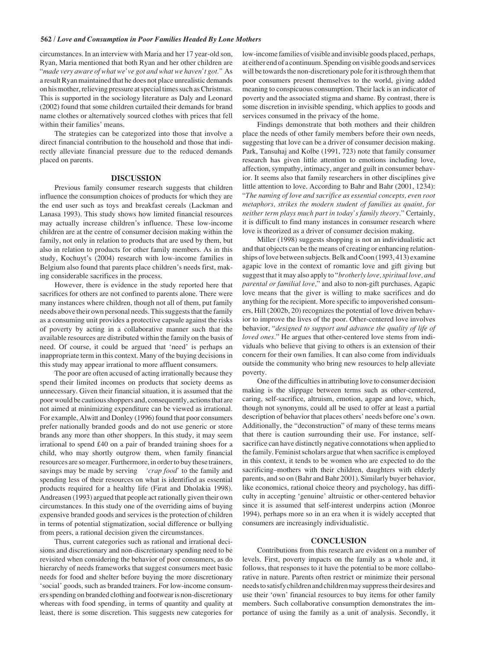circumstances. In an interview with Maria and her 17 year-old son, Ryan, Maria mentioned that both Ryan and her other children are "*made very aware of what we've got and what we haven't got."* As a result Ryan maintained that he does not place unrealistic demands on his mother, relieving pressure at special times such as Christmas. This is supported in the sociology literature as Daly and Leonard (2002) found that some children curtailed their demands for brand name clothes or alternatively sourced clothes with prices that fell within their families' means.

The strategies can be categorized into those that involve a direct financial contribution to the household and those that indirectly alleviate financial pressure due to the reduced demands placed on parents.

#### **DISCUSSION**

Previous family consumer research suggests that children influence the consumption choices of products for which they are the end user such as toys and breakfast cereals (Lackman and Lanasa 1993). This study shows how limited financial resources may actually increase children's influence. These low-income children are at the centre of consumer decision making within the family, not only in relation to products that are used by them, but also in relation to products for other family members. As in this study, Kochuyt's (2004) research with low-income families in Belgium also found that parents place children's needs first, making considerable sacrifices in the process.

However, there is evidence in the study reported here that sacrifices for others are not confined to parents alone. There were many instances where children, though not all of them, put family needs above their own personal needs. This suggests that the family as a consuming unit provides a protective capsule against the risks of poverty by acting in a collaborative manner such that the available resources are distributed within the family on the basis of need. Of course, it could be argued that 'need' is perhaps an inappropriate term in this context. Many of the buying decisions in this study may appear irrational to more affluent consumers.

The poor are often accused of acting irrationally because they spend their limited incomes on products that society deems as unnecessary. Given their financial situation, it is assumed that the poor would be cautious shoppers and, consequently, actions that are not aimed at minimizing expenditure can be viewed as irrational. For example, Alwitt and Donley (1996) found that poor consumers prefer nationally branded goods and do not use generic or store brands any more than other shoppers. In this study, it may seem irrational to spend £40 on a pair of branded training shoes for a child, who may shortly outgrow them, when family financial resources are so meager. Furthermore, in order to buy these trainers, savings may be made by serving *'crap food'* to the family and spending less of their resources on what is identified as essential products required for a healthy life (Firat and Dholakia 1998). Andreasen (1993) argued that people act rationally given their own circumstances*.* In this study one of the overriding aims of buying expensive branded goods and services is the protection of children in terms of potential stigmatization, social difference or bullying from peers, a rational decision given the circumstances.

Thus, current categories such as rational and irrational decisions and discretionary and non-discretionary spending need to be revisited when considering the behavior of poor consumers, as do hierarchy of needs frameworks that suggest consumers meet basic needs for food and shelter before buying the more discretionary 'social' goods, such as branded trainers. For low-income consumers spending on branded clothing and footwear is non-discretionary whereas with food spending, in terms of quantity and quality at least, there is some discretion. This suggests new categories for low-income families of visible and invisible goods placed, perhaps, at either end of a continuum. Spending on visible goods and services will be towards the non-discretionary pole for it is through them that poor consumers present themselves to the world, giving added meaning to conspicuous consumption. Their lack is an indicator of poverty and the associated stigma and shame. By contrast, there is some discretion in invisible spending, which applies to goods and services consumed in the privacy of the home.

Findings demonstrate that both mothers and their children place the needs of other family members before their own needs, suggesting that love can be a driver of consumer decision making. Park, Tansuhaj and Kolbe (1991, 723) note that family consumer research has given little attention to emotions including love, affection, sympathy, intimacy, anger and guilt in consumer behavior. It seems also that family researchers in other disciplines give little attention to love. According to Bahr and Bahr (2001, 1234): "*The naming of love and sacrifice as essential concepts, even root metaphors, strikes the modern student of families as quaint, for neither term plays much part in today's family theory*." Certainly, it is difficult to find many instances in consumer research where love is theorized as a driver of consumer decision making.

Miller (1998) suggests shopping is not an individualistic act and that objects can be the means of creating or enhancing relationships of love between subjects. Belk and Coon (1993, 413) examine agapic love in the context of romantic love and gift giving but suggest that it may also apply to "*brotherly love, spiritual love, and parental or familial love,*" and also to non-gift purchases. Agapic love means that the giver is willing to make sacrifices and do anything for the recipient. More specific to impoverished consumers, Hill (2002b, 20) recognizes the potential of love driven behavior to improve the lives of the poor. Other-centered love involves behavior, "*designed to support and advance the quality of life of loved ones*." He argues that other-centered love stems from individuals who believe that giving to others is an extension of their concern for their own families. It can also come from individuals outside the community who bring new resources to help alleviate poverty.

One of the difficulties in attributing love to consumer decision making is the slippage between terms such as other-centered, caring, self-sacrifice, altruism, emotion, agape and love, which, though not synonyms, could all be used to offer at least a partial description of behavior that places others' needs before one's own. Additionally, the "deconstruction" of many of these terms means that there is caution surrounding their use. For instance, selfsacrifice can have distinctly negative connotations when applied to the family. Feminist scholars argue that when sacrifice is employed in this context, it tends to be women who are expected to do the sacrificing–mothers with their children, daughters with elderly parents, and so on (Bahr and Bahr 2001). Similarly buyer behavior, like economics, rational choice theory and psychology, has difficulty in accepting 'genuine' altruistic or other-centered behavior since it is assumed that self-interest underpins action (Monroe 1994), perhaps more so in an era when it is widely accepted that consumers are increasingly individualistic.

## **CONCLUSION**

Contributions from this research are evident on a number of levels. First, poverty impacts on the family as a whole and, it follows, that responses to it have the potential to be more collaborative in nature. Parents often restrict or minimize their personal needs to satisfy children and children may suppress their desires and use their 'own' financial resources to buy items for other family members. Such collaborative consumption demonstrates the importance of using the family as a unit of analysis. Secondly, it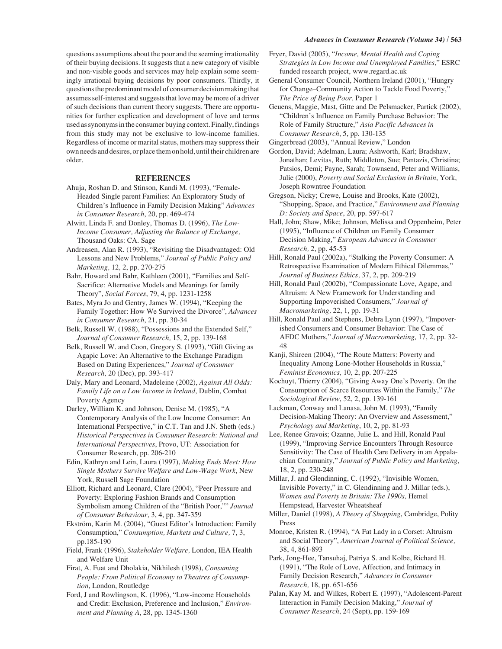#### *Advances in Consumer Research (Volume 34)* **/ 563**

questions assumptions about the poor and the seeming irrationality of their buying decisions. It suggests that a new category of visible and non-visible goods and services may help explain some seemingly irrational buying decisions by poor consumers. Thirdly, it questions the predominant model of consumer decision making that assumes self-interest and suggests that love may be more of a driver of such decisions than current theory suggests. There are opportunities for further explication and development of love and terms used as synonyms in the consumer buying context. Finally, findings from this study may not be exclusive to low-income families. Regardless of income or marital status, mothers may suppress their own needs and desires, or place them on hold, until their children are older.

# **REFERENCES**

- Ahuja, Roshan D. and Stinson, Kandi M. (1993), "Female-Headed Single parent Families: An Exploratory Study of Children's Influence in Family Decision Making" *Advances in Consumer Research*, 20, pp. 469-474
- Alwitt, Linda F. and Donley, Thomas D. (1996), *The Low-Income Consumer, Adjusting the Balance of Exchange,* Thousand Oaks: CA. Sage
- Andreasen, Alan R. (1993), "Revisiting the Disadvantaged: Old Lessons and New Problems," *Journal of Public Policy and Marketing,* 12, 2, pp. 270-275
- Bahr, Howard and Bahr, Kathleen (2001), "Families and Self-Sacrifice: Alternative Models and Meanings for family Theory", *Social Forces*, 79, 4, pp. 1231-1258
- Bates, Myra Jo and Gentry, James W. (1994), "Keeping the Family Together: How We Survived the Divorce", *Advances in Consumer Research*, 21, pp. 30-34
- Belk, Russell W. (1988), "Possessions and the Extended Self," *Journal of Consumer Research,* 15, 2, pp. 139-168
- Belk, Russell W. and Coon, Gregory S. (1993), "Gift Giving as Agapic Love: An Alternative to the Exchange Paradigm Based on Dating Experiences," *Journal of Consumer Research,* 20 (Dec), pp. 393-417
- Daly, Mary and Leonard, Madeleine (2002), *Against All Odds: Family Life on a Low Income in Ireland*, Dublin, Combat Poverty Agency
- Darley, William K. and Johnson, Denise M. (1985), "A Contemporary Analysis of the Low Income Consumer: An International Perspective," in C.T. Tan and J.N. Sheth (eds.) *Historical Perspectives in Consumer Research: National and International Perspectives*, Provo, UT: Association for Consumer Research, pp. 206-210
- Edin, Kathryn and Lein, Laura (1997), *Making Ends Meet: How Single Mothers Survive Welfare and Low-Wage Work*, New York, Russell Sage Foundation
- Elliott, Richard and Leonard, Clare (2004), "Peer Pressure and Poverty: Exploring Fashion Brands and Consumption Symbolism among Children of the "British Poor,"" *Journal of Consumer Behaviour,* 3, 4, pp. 347-359
- Ekström, Karin M. (2004), "Guest Editor's Introduction: Family Consumption," *Consumption, Markets and Culture,* 7, 3, pp.185-190
- Field, Frank (1996), *Stakeholder Welfare,* London, IEA Health and Welfare Unit
- Firat, A. Fuat and Dholakia, Nikhilesh (1998), *Consuming People: From Political Economy to Theatres of Consumption*, London, Routledge
- Ford, J and Rowlingson, K. (1996), "Low-income Households and Credit: Exclusion, Preference and Inclusion," *Environment and Planning A*, 28, pp. 1345-1360
- Fryer, David (2005), "*Income, Mental Health and Coping Strategies in Low Income and Unemployed Families,*" ESRC funded research project, www.regard.ac.uk
- General Consumer Council, Northern Ireland (2001), "Hungry for Change–Community Action to Tackle Food Poverty," *The Price of Being Poor,* Paper 1
- Geuens, Maggie, Mast, Gitte and De Pelsmacker, Partick (2002), "Children's Influence on Family Purchase Behavior: The Role of Family Structure," *Asia Pacific Advances in Consumer Research*, 5, pp. 130-135

Gingerbread (2003), "Annual Review," London

- Gordon, David; Adelman, Laura; Ashworth, Karl; Bradshaw, Jonathan; Levitas, Ruth; Middleton, Sue; Pantazis, Christina; Patsios, Demi; Payne, Sarah; Townsend, Peter and Williams, Julie (2000), *Poverty and Social Exclusion in Britain*, York, Joseph Rowntree Foundation
- Gregson, Nicky; Crewe, Louise and Brooks, Kate (2002), "Shopping, Space, and Practice," *Environment and Planning D: Society and Space*, 20, pp. 597-617
- Hall, John; Shaw, Mike; Johnson, Melissa and Oppenheim, Peter (1995), "Influence of Children on Family Consumer Decision Making," *European Advances in Consumer Research,* 2, pp. 45-53
- Hill, Ronald Paul (2002a), "Stalking the Poverty Consumer: A Retrospective Examination of Modern Ethical Dilemmas," *Journal of Business Ethics,* 37, 2, pp. 209-219
- Hill, Ronald Paul (2002b), "Compassionate Love, Agape, and Altruism: A New Framework for Understanding and Supporting Impoverished Consumers," *Journal of Macromarketing,* 22, 1, pp. 19-31
- Hill, Ronald Paul and Stephens, Debra Lynn (1997), "Impoverished Consumers and Consumer Behavior: The Case of AFDC Mothers," *Journal of Macromarketing,* 17, 2, pp. 32- 48
- Kanji, Shireen (2004), "The Route Matters: Poverty and Inequality Among Lone-Mother Households in Russia," *Feminist Economics,* 10, 2, pp. 207-225
- Kochuyt, Thierry (2004), "Giving Away One's Poverty. On the Consumption of Scarce Resources Within the Family," *The Sociological Review*, 52, 2, pp. 139-161
- Lackman, Conway and Lanasa, John M. (1993), "Family Decision-Making Theory: An Overview and Assessment," *Psychology and Marketing*, 10, 2, pp. 81-93
- Lee, Renee Gravois; Ozanne, Julie L. and Hill, Ronald Paul (1999), "Improving Service Encounters Through Resource Sensitivity: The Case of Health Care Delivery in an Appalachian Community," *Journal of Public Policy and Marketing,* 18, 2, pp. 230-248
- Millar, J. and Glendinning, C. (1992), "Invisible Women, Invisible Poverty," in C. Glendinning and J. Millar (eds.), *Women and Poverty in Britain: The 1990s,* Hemel Hempstead, Harvester Wheatsheaf
- Miller, Daniel (1998), *A Theory of Shopping*, Cambridge, Polity Press
- Monroe, Kristen R. (1994), "A Fat Lady in a Corset: Altruism and Social Theory", *American Journal of Political Science,* 38, 4, 861-893
- Park, Jong-Hee, Tansuhaj, Patriya S. and Kolbe, Richard H. (1991), "The Role of Love, Affection, and Intimacy in Family Decision Research," *Advances in Consumer Research,* 18, pp. 651-656
- Palan, Kay M. and Wilkes, Robert E. (1997), "Adolescent-Parent Interaction in Family Decision Making," *Journal of Consumer Research*, 24 (Sept), pp. 159-169